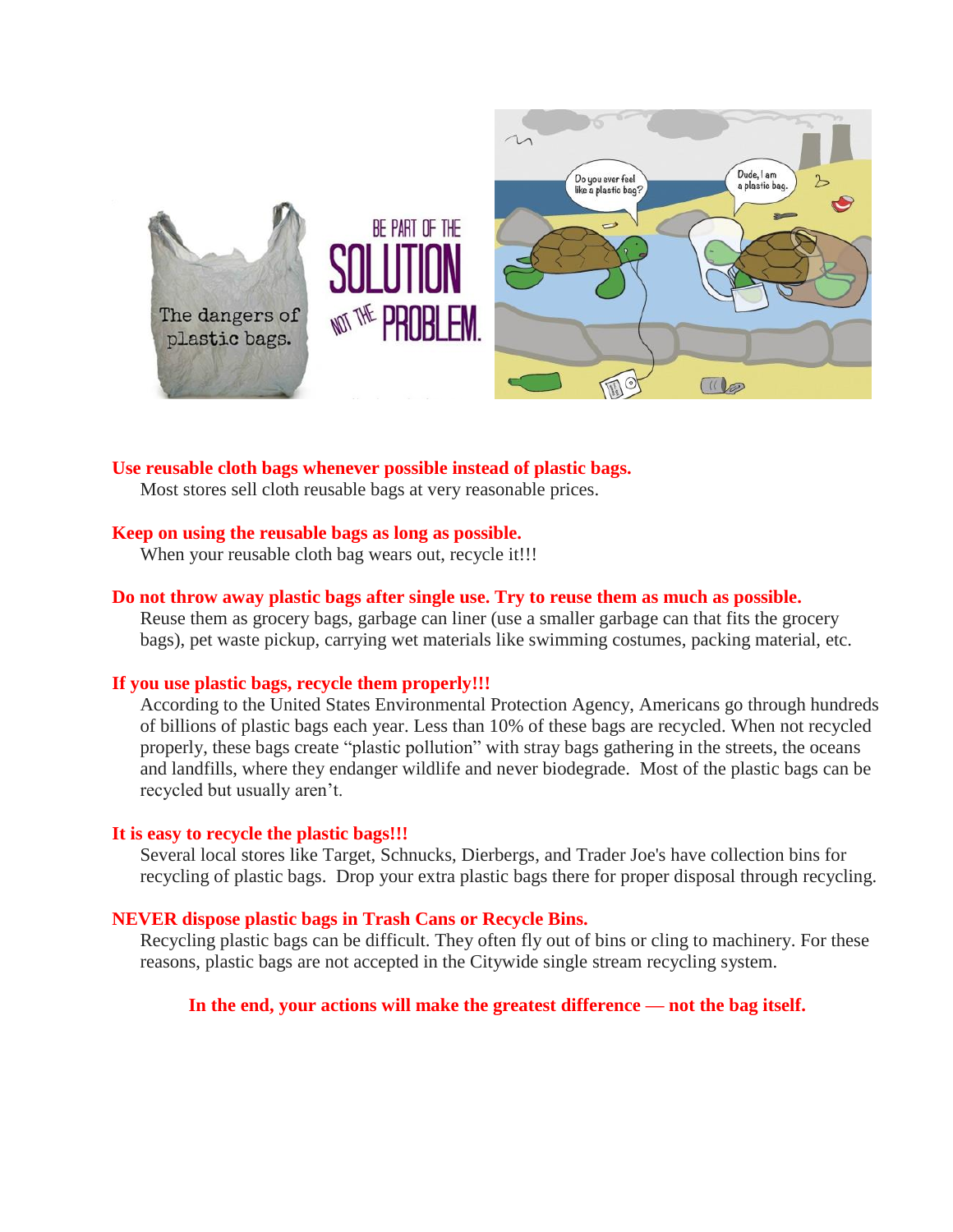

# **Use reusable cloth bags whenever possible instead of plastic bags.**

Most stores sell cloth reusable bags at very reasonable prices.

## **Keep on using the reusable bags as long as possible.**

When your reusable cloth bag wears out, recycle it!!!

## **Do not throw away plastic bags after single use. Try to reuse them as much as possible.**

Reuse them as grocery bags, garbage can liner (use a smaller garbage can that fits the grocery bags), pet waste pickup, carrying wet materials like swimming costumes, packing material, etc.

## **If you use plastic bags, recycle them properly!!!**

According to the United States Environmental Protection Agency, Americans go through hundreds of billions of plastic bags each year. Less than 10% of these bags are recycled. When not recycled properly, these bags create "plastic pollution" with stray bags gathering in the streets, the oceans and landfills, where they endanger wildlife and never biodegrade. Most of the plastic bags can be recycled but usually aren't.

#### **It is easy to recycle the plastic bags!!!**

Several local stores like Target, Schnucks, Dierbergs, and Trader Joe's have collection bins for recycling of plastic bags. Drop your extra plastic bags there for proper disposal through recycling.

#### **NEVER dispose plastic bags in Trash Cans or Recycle Bins.**

Recycling plastic bags can be difficult. They often fly out of bins or cling to machinery. For these reasons, plastic bags are not accepted in the Citywide single stream recycling system.

## **In the end, your actions will make the greatest difference — not the bag itself.**